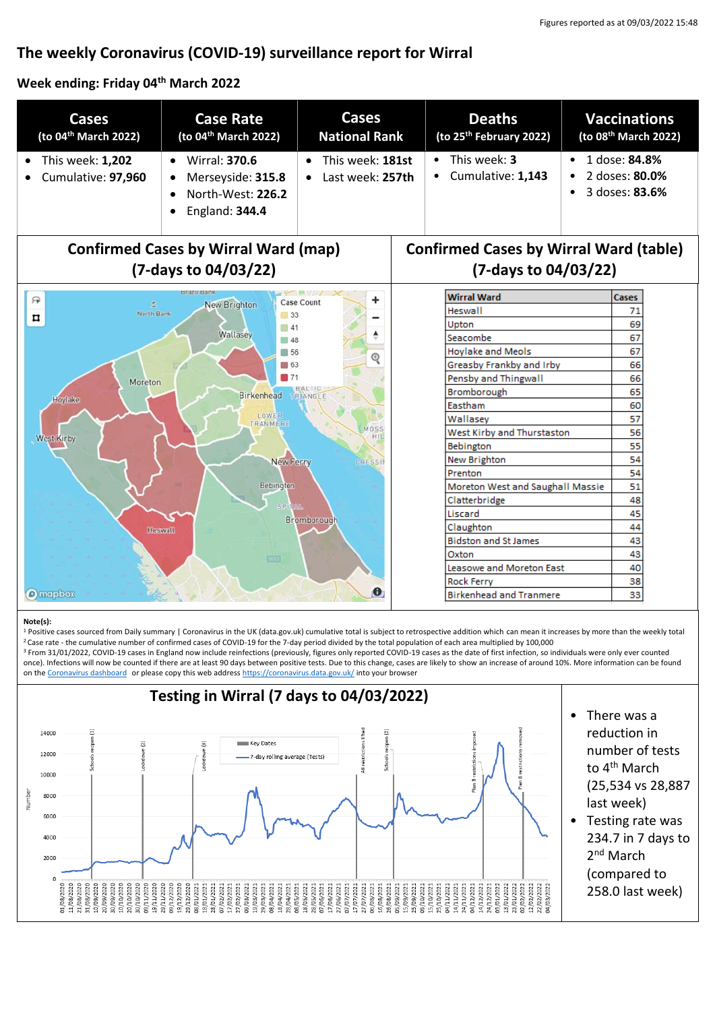# **The weekly Coronavirus (COVID-19) surveillance report for Wirral**

### **Week ending: Friday 04 th March 2022**

| Cases<br>(to 04 <sup>th</sup> March 2022)                                                    | <b>Case Rate</b><br>(to 04 <sup>th</sup> March 2022)                                          | <b>Cases</b><br><b>National Rank</b>              | <b>Deaths</b><br>(to 25 <sup>th</sup> February 2022) | <b>Vaccinations</b><br>(to 08 <sup>th</sup> March 2022)             |  |
|----------------------------------------------------------------------------------------------|-----------------------------------------------------------------------------------------------|---------------------------------------------------|------------------------------------------------------|---------------------------------------------------------------------|--|
| This week: 1,202<br>Cumulative: 97,960                                                       | <b>Wirral: 370.6</b><br>$\bullet$<br>Merseyside: 315.8<br>North-West: 226.2<br>England: 344.4 | This week: 181st<br>$\bullet$<br>Last week: 257th | This week: 3<br>Cumulative: 1,143                    | 1 dose: 84.8%<br>$\bullet$<br>2 doses: 80.0%<br>3 doses: 83.6%<br>٠ |  |
| <b>Confirmed Cases by Wirral Ward (map)</b><br><b>Confirmed Cases by Wirral Ward (table)</b> |                                                                                               |                                                   |                                                      |                                                                     |  |
| (7-days to 04/03/22)                                                                         |                                                                                               |                                                   | (7-days to 04/03/22)                                 |                                                                     |  |
| 戸                                                                                            |                                                                                               |                                                   | <b>Wirral Ward</b>                                   | <b>Cases</b>                                                        |  |
| <b>Case Count</b><br>New Brighton<br>σ<br>North Bank<br>33                                   |                                                                                               |                                                   | <b>Heswall</b>                                       | 71                                                                  |  |
| ¤<br><b>41</b>                                                                               |                                                                                               |                                                   | Upton                                                | 69                                                                  |  |
| Wallasey<br>$\blacksquare$ 48                                                                |                                                                                               |                                                   | Seacombe                                             | 67                                                                  |  |
| ■ 56<br>Q                                                                                    |                                                                                               |                                                   | <b>Hoylake and Meols</b>                             | 67                                                                  |  |
| 163                                                                                          |                                                                                               |                                                   | Greasby Frankby and Irby                             | 66                                                                  |  |
| $\blacksquare$ 71<br><b>Moreton</b>                                                          |                                                                                               |                                                   | Pensby and Thingwall                                 | 66                                                                  |  |
| <b>Birkenhead</b><br>IRIANGLE<br>Hoylake                                                     |                                                                                               |                                                   | Bromborough                                          | 65                                                                  |  |
| Eastham                                                                                      |                                                                                               |                                                   |                                                      | 60                                                                  |  |
| <b>LOWER</b><br>Wallasev<br><b>TRANMERE</b>                                                  |                                                                                               |                                                   |                                                      | 57                                                                  |  |
| MOSS<br>West Kirby and Thurstaston<br>HI<br>West Kirby                                       |                                                                                               |                                                   |                                                      | 56                                                                  |  |
| Bebington                                                                                    |                                                                                               |                                                   |                                                      | 55                                                                  |  |
| New Brighton<br>New Ferry<br><b>CRESSI</b>                                                   |                                                                                               |                                                   |                                                      | 54                                                                  |  |
| Prenton                                                                                      |                                                                                               |                                                   |                                                      | 54                                                                  |  |
| Bebington                                                                                    |                                                                                               |                                                   | 51<br>Moreton West and Saughall Massie               |                                                                     |  |
| SPIT/AL                                                                                      |                                                                                               |                                                   | Clatterbridge                                        | 48                                                                  |  |
| Bromborough                                                                                  |                                                                                               |                                                   | 45<br>Liscard                                        |                                                                     |  |
| Heswall                                                                                      |                                                                                               |                                                   | Claughton                                            | 44                                                                  |  |
|                                                                                              |                                                                                               |                                                   | <b>Bidston and St James</b>                          | 43<br>43                                                            |  |
| Oxton<br><b>CIST</b><br>Leasowe and Moreton East                                             |                                                                                               |                                                   |                                                      | 40                                                                  |  |
| <b>Rock Ferry</b>                                                                            |                                                                                               |                                                   |                                                      | 38                                                                  |  |
| $\bullet$<br><b>O</b> mapbox                                                                 |                                                                                               |                                                   | <b>Birkenhead and Tranmere</b>                       | 33                                                                  |  |

#### **Note(s):**

1 Positive cases sourced from Daily summary | Coronavirus in the UK (data.gov.uk) cumulative total is subject to retrospective addition which can mean it increases by more than the weekly total <sup>2</sup>Case rate - the cumulative number of confirmed cases of COVID-19 for the 7-day period divided by the total population of each area multiplied by 100,000

<sup>3</sup> From 31/01/2022, COVID-19 cases in England now include reinfections (previously, figures only reported COVID-19 cases as the date of first infection, so individuals were only ever counted once). Infections will now be counted if there are at least 90 days between positive tests. Due to this change, cases are likely to show an increase of around 10%. More information can be found on the [Coronavirus dashboard](https://coronavirus.data.gov.uk/details/whats-new/record/af008739-ffa3-47b8-8efc-ef109f2cfbdd) or please copy this web addres[s https://coronavirus.data.gov.uk/](https://coronavirus.data.gov.uk/) into your browser

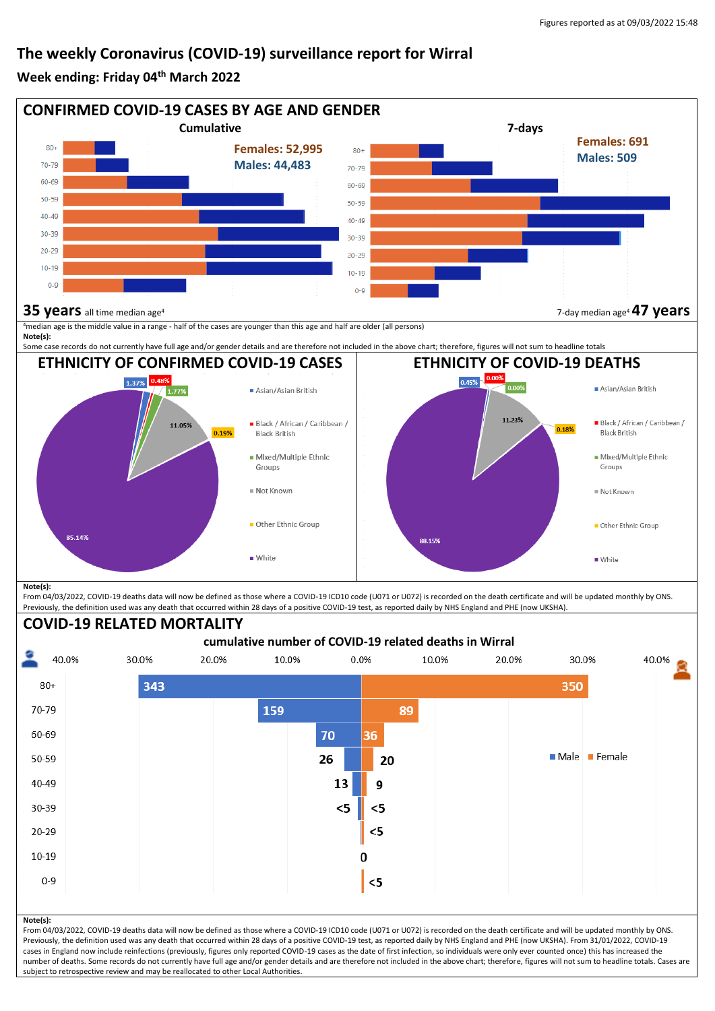## **The weekly Coronavirus (COVID-19) surveillance report for Wirral**

## **Week ending: Friday 04 th March 2022**



From 04/03/2022, COVID-19 deaths data will now be defined as those where a COVID-19 ICD10 code (U071 or U072) is recorded on the death certificate and will be updated monthly by ONS. Previously, the definition used was any death that occurred within 28 days of a positive COVID-19 test, as reported daily by NHS England and PHE (now UKSHA).

#### **COVID-19 RELATED MORTALITY**

subject to retrospective review and may be reallocated to other Local Authorities.